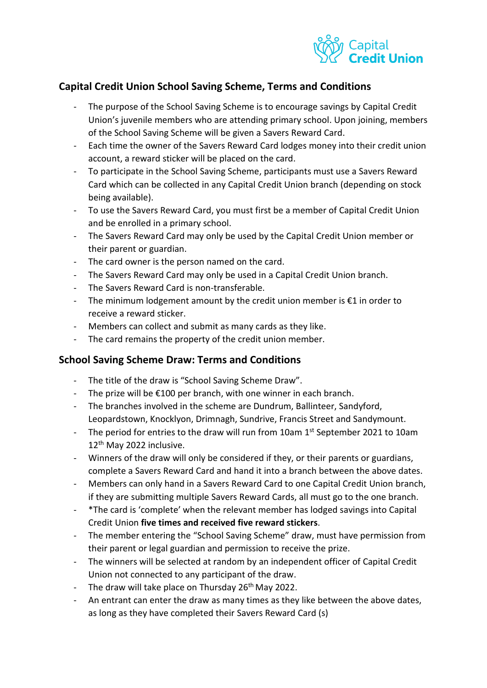

## **Capital Credit Union School Saving Scheme, Terms and Conditions**

- The purpose of the School Saving Scheme is to encourage savings by Capital Credit Union's juvenile members who are attending primary school. Upon joining, members of the School Saving Scheme will be given a Savers Reward Card.
- Each time the owner of the Savers Reward Card lodges money into their credit union account, a reward sticker will be placed on the card.
- To participate in the School Saving Scheme, participants must use a Savers Reward Card which can be collected in any Capital Credit Union branch (depending on stock being available).
- To use the Savers Reward Card, you must first be a member of Capital Credit Union and be enrolled in a primary school.
- The Savers Reward Card may only be used by the Capital Credit Union member or their parent or guardian.
- The card owner is the person named on the card.
- The Savers Reward Card may only be used in a Capital Credit Union branch.
- The Savers Reward Card is non-transferable.
- The minimum lodgement amount by the credit union member is  $E1$  in order to receive a reward sticker.
- Members can collect and submit as many cards as they like.
- The card remains the property of the credit union member.

## **School Saving Scheme Draw: Terms and Conditions**

- The title of the draw is "School Saving Scheme Draw".
- The prize will be  $£100$  per branch, with one winner in each branch.
- The branches involved in the scheme are Dundrum, Ballinteer, Sandyford, Leopardstown, Knocklyon, Drimnagh, Sundrive, Francis Street and Sandymount.
- The period for entries to the draw will run from 10am 1<sup>st</sup> September 2021 to 10am 12<sup>th</sup> May 2022 inclusive.
- Winners of the draw will only be considered if they, or their parents or guardians, complete a Savers Reward Card and hand it into a branch between the above dates.
- Members can only hand in a Savers Reward Card to one Capital Credit Union branch, if they are submitting multiple Savers Reward Cards, all must go to the one branch.
- \*The card is 'complete' when the relevant member has lodged savings into Capital Credit Union **five times and received five reward stickers**.
- The member entering the "School Saving Scheme" draw, must have permission from their parent or legal guardian and permission to receive the prize.
- The winners will be selected at random by an independent officer of Capital Credit Union not connected to any participant of the draw.
- The draw will take place on Thursday  $26<sup>th</sup>$  May 2022.
- An entrant can enter the draw as many times as they like between the above dates, as long as they have completed their Savers Reward Card (s)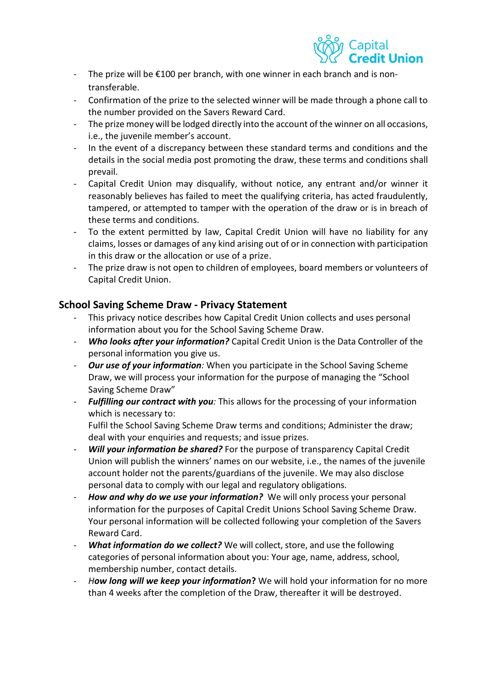

- The prize will be €100 per branch, with one winner in each branch and is nontransferable.
- Confirmation of the prize to the selected winner will be made through a phone call to the number provided on the Savers Reward Card.
- The prize money will be lodged directly into the account of the winner on all occasions, i.e., the juvenile member's account.
- In the event of a discrepancy between these standard terms and conditions and the details in the social media post promoting the draw, these terms and conditions shall prevail.
- Capital Credit Union may disqualify, without notice, any entrant and/or winner it reasonably believes has failed to meet the qualifying criteria, has acted fraudulently, tampered, or attempted to tamper with the operation of the draw or is in breach of these terms and conditions.
- To the extent permitted by law, Capital Credit Union will have no liability for any claims, losses or damages of any kind arising out of or in connection with participation in this draw or the allocation or use of a prize.
- The prize draw is not open to children of employees, board members or volunteers of Capital Credit Union.

## **School Saving Scheme Draw - Privacy Statement**

- This privacy notice describes how Capital Credit Union collects and uses personal information about you for the School Saving Scheme Draw.
- *Who looks after your information?* Capital Credit Union is the Data Controller of the personal information you give us.
- *Our use of your information:* When you participate in the School Saving Scheme Draw, we will process your information for the purpose of managing the "School Saving Scheme Draw"
- *Fulfilling our contract with you:* This allows for the processing of your information which is necessary to:

Fulfil the School Saving Scheme Draw terms and conditions; Administer the draw; deal with your enquiries and requests; and issue prizes.

- Will your information be shared? For the purpose of transparency Capital Credit Union will publish the winners' names on our website, i.e., the names of the juvenile account holder not the parents/guardians of the juvenile. We may also disclose personal data to comply with our legal and regulatory obligations.
- *How and why do we use your information?* We will only process your personal information for the purposes of Capital Credit Unions School Saving Scheme Draw. Your personal information will be collected following your completion of the Savers Reward Card.
- What information do we collect? We will collect, store, and use the following categories of personal information about you: Your age, name, address, school, membership number, contact details.
- How long will we keep your information? We will hold your information for no more than 4 weeks after the completion of the Draw, thereafter it will be destroyed.